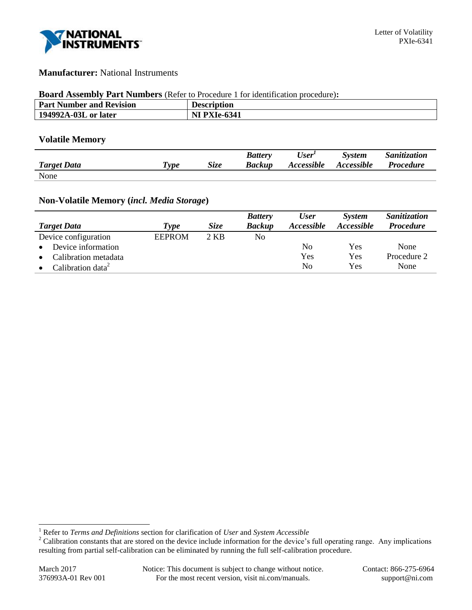

### **Manufacturer:** National Instruments

#### **Board Assembly Part Numbers** (Refer to Procedure 1 for identification procedure)**:**

| <b>Part Number and Revision</b> | <b>Description</b>  |
|---------------------------------|---------------------|
| 194992A-03L or later            | <b>NI PXIe-6341</b> |

### **Volatile Memory**

|                    |            |      | <b>Battery</b> | User'             | <b>System</b>            | <i>Sanitization</i> |
|--------------------|------------|------|----------------|-------------------|--------------------------|---------------------|
| <b>Target Data</b> | <i>vpe</i> | Size | <b>Backup</b>  | <b>Accessible</b> | <i><b>Accessible</b></i> | <i>Procedure</i>    |
| None               |            |      |                |                   |                          |                     |

# **Non-Volatile Memory (***incl. Media Storage***)**

|                               |               |             | <b>Battery</b> | <b>User</b>    | <b>System</b> | Sanitization     |
|-------------------------------|---------------|-------------|----------------|----------------|---------------|------------------|
| <b>Target Data</b>            | Type          | <i>Size</i> | <b>Backup</b>  | Accessible     | Accessible    | <b>Procedure</b> |
| Device configuration          | <b>EEPROM</b> | 2 KB        | No             |                |               |                  |
| Device information            |               |             |                | N <sub>0</sub> | Yes           | None             |
| Calibration metadata          |               |             |                | Yes            | Yes           | Procedure 2      |
| Calibration data <sup>2</sup> |               |             |                | N <sub>0</sub> | Yes           | None             |

l

<sup>1</sup> Refer to *Terms and Definitions* section for clarification of *User* and *System Accessible*

<sup>&</sup>lt;sup>2</sup> Calibration constants that are stored on the device include information for the device's full operating range. Any implications resulting from partial self-calibration can be eliminated by running the full self-calibration procedure.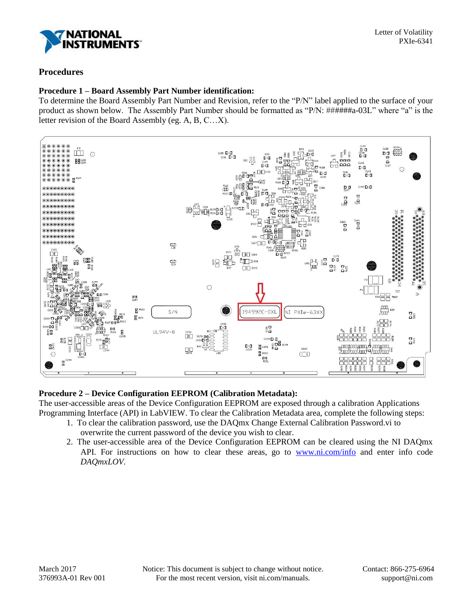

## **Procedures**

### **Procedure 1 – Board Assembly Part Number identification:**

To determine the Board Assembly Part Number and Revision, refer to the "P/N" label applied to the surface of your product as shown below. The Assembly Part Number should be formatted as "P/N: ######a-03L" where "a" is the letter revision of the Board Assembly (eg. A, B, C…X).



## **Procedure 2 – Device Configuration EEPROM (Calibration Metadata):**

The user-accessible areas of the Device Configuration EEPROM are exposed through a calibration Applications Programming Interface (API) in LabVIEW. To clear the Calibration Metadata area, complete the following steps:

- 1. To clear the calibration password, use the DAQmx Change External Calibration Password.vi to overwrite the current password of the device you wish to clear.
- 2. The user-accessible area of the Device Configuration EEPROM can be cleared using the NI DAQmx API. For instructions on how to clear these areas, go to [www.ni.com/info](http://www.ni.com/info) and enter info code *DAQmxLOV.*